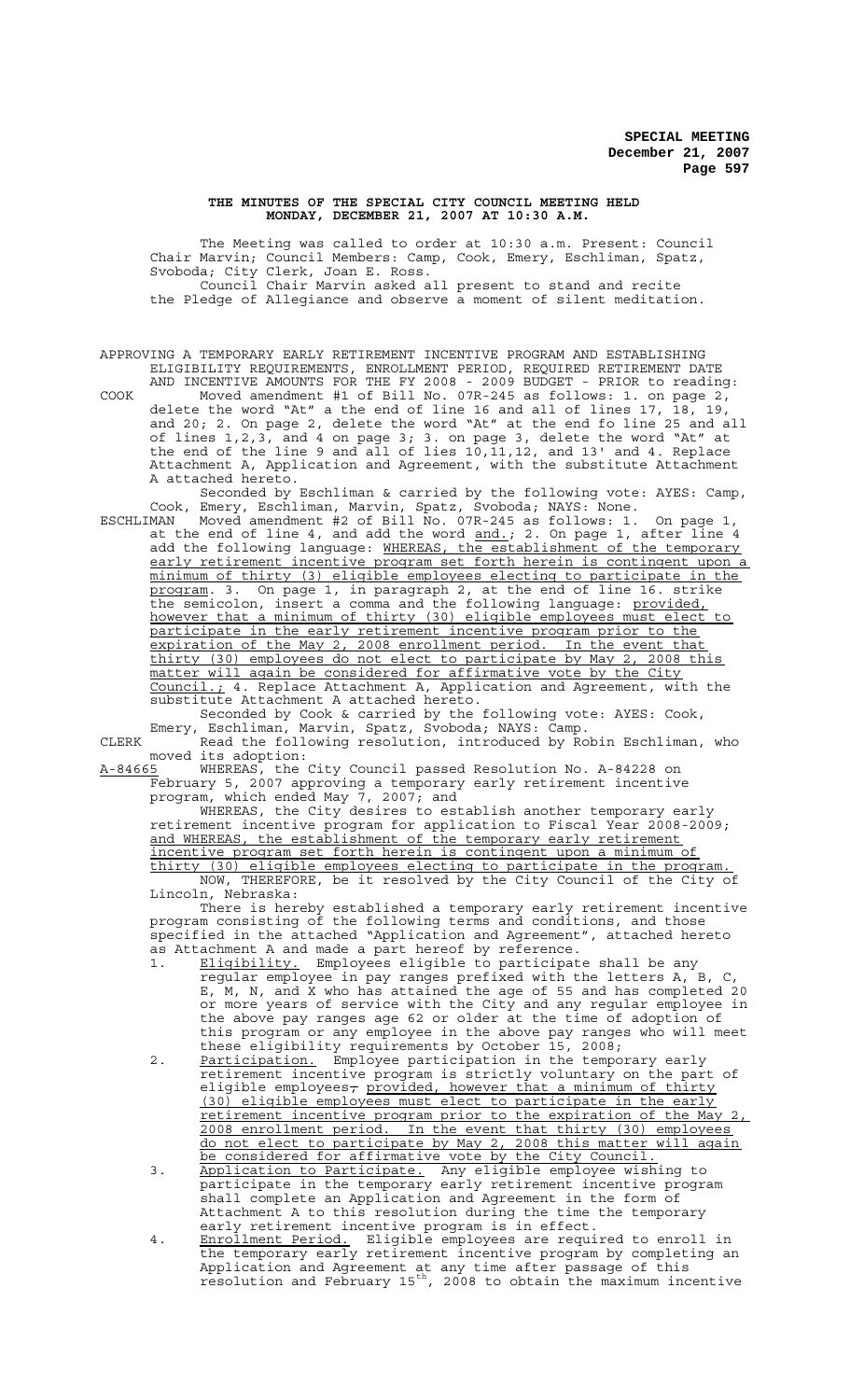## **THE MINUTES OF THE SPECIAL CITY COUNCIL MEETING HELD MONDAY, DECEMBER 21, 2007 AT 10:30 A.M.**

The Meeting was called to order at 10:30 a.m. Present: Council Chair Marvin; Council Members: Camp, Cook, Emery, Eschliman, Spatz, Svoboda; City Clerk, Joan E. Ross. Council Chair Marvin asked all present to stand and recite the Pledge of Allegiance and observe a moment of silent meditation.

APPROVING A TEMPORARY EARLY RETIREMENT INCENTIVE PROGRAM AND ESTABLISHING ELIGIBILITY REQUIREMENTS, ENROLLMENT PERIOD, REQUIRED RETIREMENT DATE AND INCENTIVE AMOUNTS FOR THE FY 2008 - 2009 BUDGET - PRIOR to reading:

COOK Moved amendment #1 of Bill No. 07R-245 as follows: 1. on page 2, delete the word "At" a the end of line 16 and all of lines 17, 18, 19, and 20; 2. On page 2, delete the word "At" at the end fo line 25 and all of lines 1,2,3, and 4 on page 3; 3. on page 3, delete the word "At" at the end of the line 9 and all of lies 10,11,12, and 13' and 4. Replace Attachment A, Application and Agreement, with the substitute Attachment A attached hereto.

Seconded by Eschliman & carried by the following vote: AYES: Camp, Cook, Emery, Eschliman, Marvin, Spatz, Svoboda; NAYS: None.

ESCHLIMAN Moved amendment #2 of Bill No. 07R-245 as follows: 1. On page 1, at the end of line 4, and add the word and.; 2. On page 1, after line 4 add the following language: WHEREAS, the establishment of the temporary early retirement incentive program set forth herein is contingent upon a minimum of thirty (3) eligible employees electing to participate in the program. 3. On page 1, in paragraph 2, at the end of line 16. strike the semicolon, insert a comma and the following language: provided, however that a minimum of thirty (30) eligible employees must elect to participate in the early retirement incentive program prior to the expiration of the May 2, 2008 enrollment period. In the event that thirty (30) employees do not elect to participate by May 2, 2008 this matter will again be considered for affirmative vote by the City Council.; 4. Replace Attachment A, Application and Agreement, with the substitute Attachment A attached hereto.

Seconded by Cook & carried by the following vote: AYES: Cook, Emery, Eschliman, Marvin, Spatz, Svoboda; NAYS: Camp.

CLERK Read the following resolution, introduced by Robin Eschliman, who moved its adoption:<br>A-84665 WHEREAS, the

WHEREAS, the City Council passed Resolution No. A-84228 on February 5, 2007 approving a temporary early retirement incentive program, which ended May 7, 2007; and

WHEREAS, the City desires to establish another temporary early retirement incentive program for application to Fiscal Year 2008-2009; and WHEREAS, the establishment of the temporary early retirement incentive program set forth herein is contingent upon a minimum of thirty (30) eligible employees electing to participate in the program. NOW, THEREFORE, be it resolved by the City Council of the City of Lincoln, Nebraska:

There is hereby established a temporary early retirement incentive program consisting of the following terms and conditions, and those specified in the attached "Application and Agreement", attached hereto as Attachment A and made a part hereof by reference.

- 1. Eligibility. Employees eligible to participate shall be any regular employee in pay ranges prefixed with the letters A, B, C, E, M, N, and X who has attained the age of 55 and has completed 20 or more years of service with the City and any regular employee in the above pay ranges age 62 or older at the time of adoption of this program or any employee in the above pay ranges who will meet these eligibility requirements by October 15, 2008;
- 2. Participation. Employee participation in the temporary early retirement incentive program is strictly voluntary on the part of eligible employees<del>,</del> provided, however that a minimum of thirty (30) eligible employees must elect to participate in the early retirement incentive program prior to the expiration of the May 2, 2008 enrollment period. In the event that thirty (30) employees do not elect to participate by May 2, 2008 this matter will again be considered for affirmative vote by the City Council.
- 3. Application to Participate. Any eligible employee wishing to participate in the temporary early retirement incentive program shall complete an Application and Agreement in the form of Attachment A to this resolution during the time the temporary early retirement incentive program is in effect.
- 4. Enrollment Period. Eligible employees are required to enroll in the temporary early retirement incentive program by completing an Application and Agreement at any time after passage of this resolution and February 15th, 2008 to obtain the maximum incentive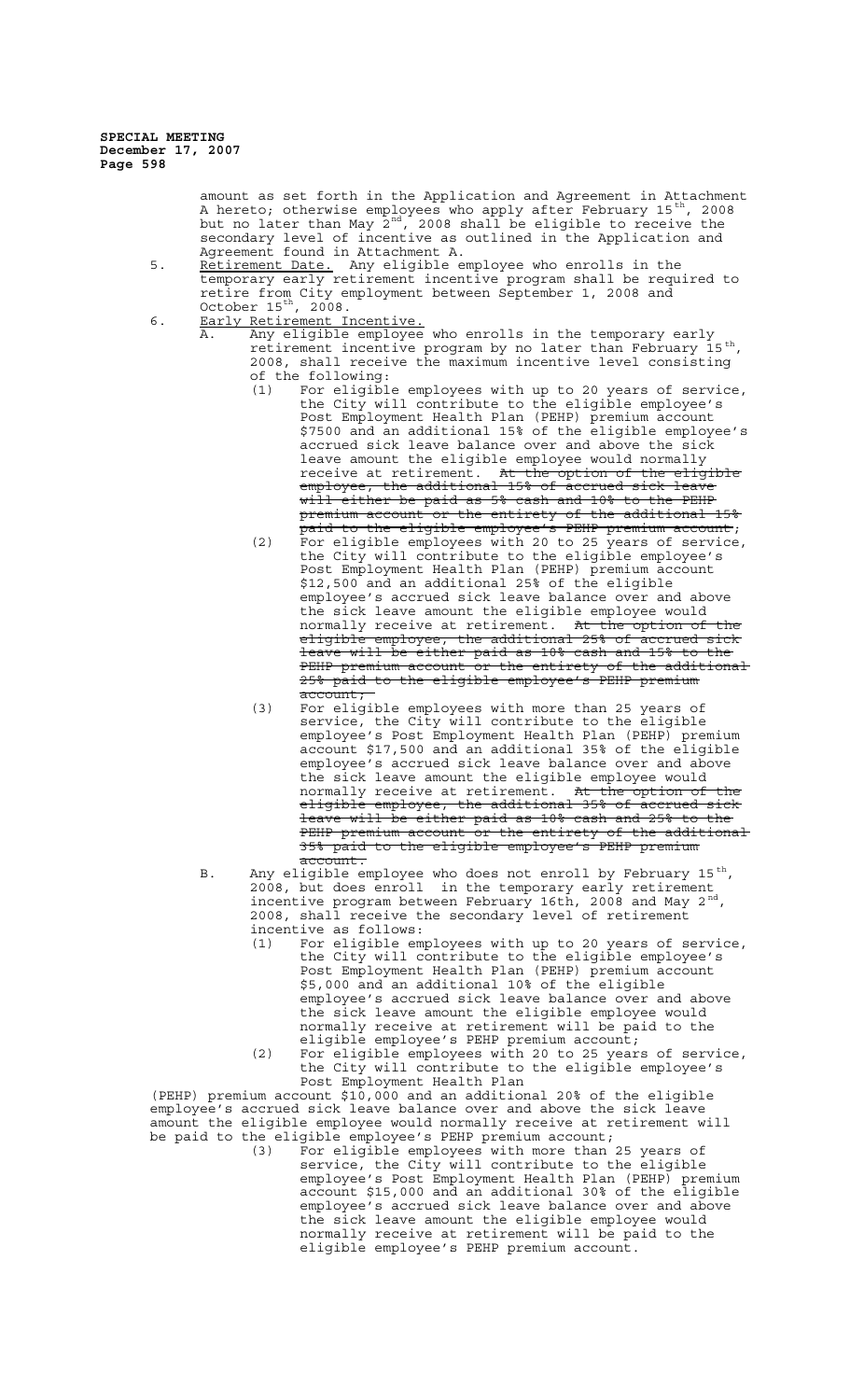**SPECIAL MEETING December 17, 2007 Page 598**

> amount as set forth in the Application and Agreement in Attachment A hereto; otherwise employees who apply after February 15<sup>th</sup>, 2008 but no later than May  $2^{\text{nd}}$ , 2008 shall be eligible to receive the secondary level of incentive as outlined in the Application and Agreement found in Attachment A.

- 5. Retirement Date. Any eligible employee who enrolls in the temporary early retirement incentive program shall be required to retire from City employment between September 1, 2008 and October  $15^{\text{th}}$ ,  $2008$ .
- 6. Early Retirement Incentive.
	- A. Any eligible employee who enrolls in the temporary early retirement incentive program by no later than February 15<sup>th</sup>, 2008, shall receive the maximum incentive level consisting of the following:
		- (1) For eligible employees with up to 20 years of service, the City will contribute to the eligible employee's Post Employment Health Plan (PEHP) premium account \$7500 and an additional 15% of the eligible employee's accrued sick leave balance over and above the sick leave amount the eligible employee would normally receive at retirement. At the option of the eligible employee, the additional 15% of accrued sick leave will either be paid as 5% cash and 10% to the PEHP premium account or the entirety of the additional 15%
		- paid to the eligible employee's PEHP premium account; (2) For eligible employees with 20 to 25 years of service, the City will contribute to the eligible employee's Post Employment Health Plan (PEHP) premium account \$12,500 and an additional 25% of the eligible employee's accrued sick leave balance over and above the sick leave amount the eligible employee would normally receive at retirement. A<del>t the option of the</del> eligible employee, the additional 25% of accrued sick leave will be either paid as 10% cash and 15% to the PEHP premium account or the entirety of the additional 25% paid to the eligible employee's PEHP premium account;
		- (3) For eligible employees with more than 25 years of service, the City will contribute to the eligible employee's Post Employment Health Plan (PEHP) premium account \$17,500 and an additional 35% of the eligible employee's accrued sick leave balance over and above the sick leave amount the eligible employee would normally receive at retirement. A<del>t the option of the</del> eligible employee, the additional 35% of accrued sick leave will be either paid as 10% cash and 25% to the PEHP premium account or the entirety of the additional 35% paid to the eligible employee's PEHP premium account.
	- B. Any eligible employee who does not enroll by February 15 $^{\rm th}$ , 2008, but does enroll in the temporary early retirement incentive program between February 16th, 2008 and May 2<sup>nd</sup>,<br>2008, shall receive the secondary level of retirement incentive as follows:
		- (1) For eligible employees with up to 20 years of service, the City will contribute to the eligible employee's Post Employment Health Plan (PEHP) premium account \$5,000 and an additional 10% of the eligible employee's accrued sick leave balance over and above the sick leave amount the eligible employee would normally receive at retirement will be paid to the eligible employee's PEHP premium account;
		- (2) For eligible employees with 20 to 25 years of service, the City will contribute to the eligible employee's Post Employment Health Plan

(PEHP) premium account \$10,000 and an additional 20% of the eligible employee's accrued sick leave balance over and above the sick leave amount the eligible employee would normally receive at retirement will be paid to the eligible employee's PEHP premium account;<br>(3) For eligible employees with more than:

(3) For eligible employees with more than 25 years of service, the City will contribute to the eligible employee's Post Employment Health Plan (PEHP) premium account \$15,000 and an additional 30% of the eligible employee's accrued sick leave balance over and above the sick leave amount the eligible employee would normally receive at retirement will be paid to the eligible employee's PEHP premium account.